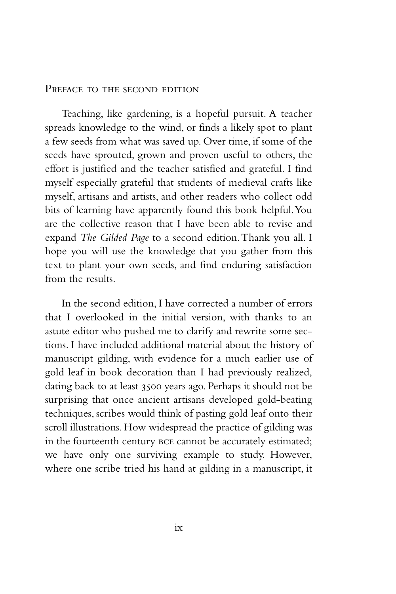## PREFACE TO THE SECOND EDITION

Teaching, like gardening, is a hopeful pursuit. A teacher spreads knowledge to the wind, or finds a likely spot to plant a few seeds from what was saved up. Over time, if some of the seeds have sprouted, grown and proven useful to others, the effort is justified and the teacher satisfied and grateful. I find myself especially grateful that students of medieval crafts like myself, artisans and artists, and other readers who collect odd bits of learning have apparently found this book helpful. You are the collective reason that I have been able to revise and expand *The Gilded Page* to a second edition. Thank you all. I hope you will use the knowledge that you gather from this text to plant your own seeds, and find enduring satisfaction from the results.

In the second edition, I have corrected a number of errors that I overlooked in the initial version, with thanks to an astute editor who pushed me to clarify and rewrite some sections. I have included additional material about the history of manuscript gilding, with evidence for a much earlier use of gold leaf in book decoration than I had previously realized, dating back to at least 3500 years ago. Perhaps it should not be surprising that once ancient artisans developed gold-beating techniques, scribes would think of pasting gold leaf onto their scroll illustrations. How widespread the practice of gilding was in the fourteenth century bce cannot be accurately estimated; we have only one surviving example to study. However, where one scribe tried his hand at gilding in a manuscript, it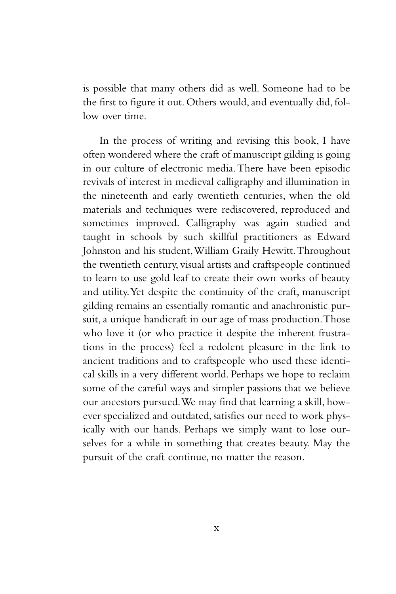is possible that many others did as well. Someone had to be the first to figure it out. Others would, and eventually did, follow over time.

In the process of writing and revising this book, I have often wondered where the craft of manuscript gilding is going in our culture of electronic media. There have been episodic revivals of interest in medieval calligraphy and illumination in the nineteenth and early twentieth centuries, when the old materials and techniques were rediscovered, reproduced and sometimes improved. Calligraphy was again studied and taught in schools by such skillful practitioners as Edward Johnston and his student, William Graily Hewitt. Throughout the twentieth century, visual artists and craftspeople continued to learn to use gold leaf to create their own works of beauty and utility. Yet despite the continuity of the craft, manuscript gilding remains an essentially romantic and anachronistic pursuit, a unique handicraft in our age of mass production. Those who love it (or who practice it despite the inherent frustrations in the process) feel a redolent pleasure in the link to ancient traditions and to craftspeople who used these identical skills in a very different world. Perhaps we hope to reclaim some of the careful ways and simpler passions that we believe our ancestors pursued. We may find that learning a skill, however specialized and outdated, satisfies our need to work physically with our hands. Perhaps we simply want to lose ourselves for a while in something that creates beauty. May the pursuit of the craft continue, no matter the reason.